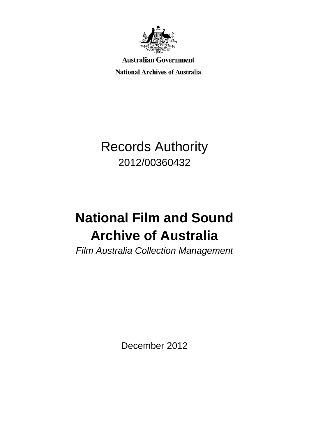

**Australian Government** 

**National Archives of Australia** 

## Records Authority 2012/00360432

# **National Film and Sound Archive of Australia**

*Film Australia Collection Management*

December 2012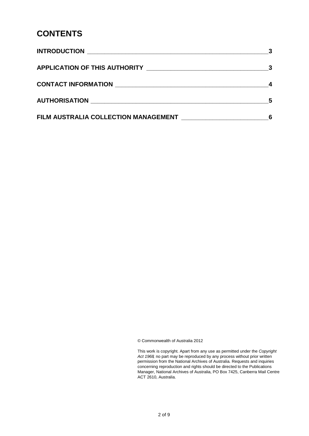#### **CONTENTS**

|                                      | $\overline{\mathbf{3}}$ |
|--------------------------------------|-------------------------|
|                                      |                         |
|                                      | .5                      |
| FILM AUSTRALIA COLLECTION MANAGEMENT | 6                       |

© Commonwealth of Australia 2012

This work is copyright. Apart from any use as permitted under the *Copyright Act 1968,* no part may be reproduced by any process without prior written permission from the National Archives of Australia. Requests and inquiries concerning reproduction and rights should be directed to the Publications Manager, National Archives of Australia, PO Box 7425, Canberra Mail Centre ACT 2610, Australia.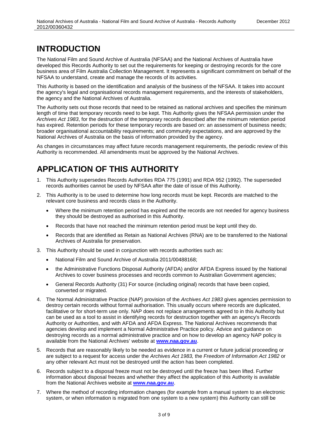#### **INTRODUCTION**

The National Film and Sound Archive of Australia (NFSAA) and the National Archives of Australia have developed this Records Authority to set out the requirements for keeping or destroying records for the core business area of Film Australia Collection Management. It represents a significant commitment on behalf of the NFSAA to understand, create and manage the records of its activities.

This Authority is based on the identification and analysis of the business of the NFSAA. It takes into account the agency's legal and organisational records management requirements, and the interests of stakeholders, the agency and the National Archives of Australia.

The Authority sets out those records that need to be retained as national archives and specifies the minimum length of time that temporary records need to be kept. This Authority gives the NFSAA permission under the *Archives Act 1983*, for the destruction of the temporary records described after the minimum retention period has expired. Retention periods for these temporary records are based on: an assessment of business needs; broader organisational accountability requirements; and community expectations, and are approved by the National Archives of Australia on the basis of information provided by the agency.

As changes in circumstances may affect future records management requirements, the periodic review of this Authority is recommended. All amendments must be approved by the National Archives.

#### **APPLICATION OF THIS AUTHORITY**

- 1. This Authority supersedes Records Authorities RDA 775 (1991) and RDA 952 (1992). The superseded records authorities cannot be used by NFSAA after the date of issue of this Authority.
- 2. This Authority is to be used to determine how long records must be kept. Records are matched to the relevant core business and records class in the Authority.
	- Where the minimum retention period has expired and the records are not needed for agency business they should be destroyed as authorised in this Authority.
	- Records that have not reached the minimum retention period must be kept until they do.
	- Records that are identified as Retain as National Archives (RNA) are to be transferred to the National Archives of Australia for preservation.
- 3. This Authority should be used in conjunction with records authorities such as:
	- National Film and Sound Archive of Australia 2011/00488168;
	- the Administrative Functions Disposal Authority (AFDA) and/or AFDA Express issued by the National Archives to cover business processes and records common to Australian Government agencies;
	- General Records Authority (31) For source (including original) records that have been copied, converted or migrated.
- 4. The Normal Administrative Practice (NAP) provision of the *Archives Act 1983* gives agencies permission to destroy certain records without formal authorisation. This usually occurs where records are duplicated, facilitative or for short-term use only. NAP does not replace arrangements agreed to in this Authority but can be used as a tool to assist in identifying records for destruction together with an agency's Records Authority or Authorities, and with AFDA and AFDA Express. The National Archives recommends that agencies develop and implement a Normal Administrative Practice policy. Advice and guidance on destroying records as a normal administrative practice and on how to develop an agency NAP policy is available from the National Archives' website at **[www.naa.gov.au](http://www.naa.gov.au/)**.
- 5. Records that are reasonably likely to be needed as evidence in a current or future judicial proceeding or are subject to a request for access under the *Archives Act 1983,* the *Freedom of Information Act 1982* or any other relevant Act must not be destroyed until the action has been completed.
- 6. Records subject to a disposal freeze must not be destroyed until the freeze has been lifted. Further information about disposal freezes and whether they affect the application of this Authority is available from the National Archives website at **[www.naa.gov.au](http://www.naa.gov.au/)**.
- 7. Where the method of recording information changes (for example from a manual system to an electronic system, or when information is migrated from one system to a new system) this Authority can still be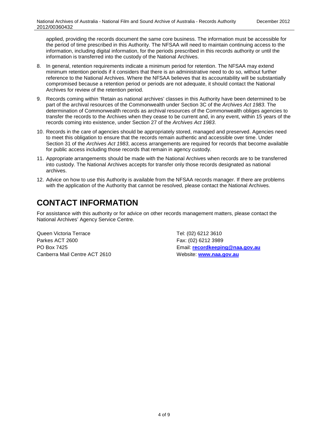applied, providing the records document the same core business. The information must be accessible for the period of time prescribed in this Authority. The NFSAA will need to maintain continuing access to the information, including digital information, for the periods prescribed in this records authority or until the information is transferred into the custody of the National Archives.

- 8. In general, retention requirements indicate a minimum period for retention. The NFSAA may extend minimum retention periods if it considers that there is an administrative need to do so, without further reference to the National Archives. Where the NFSAA believes that its accountability will be substantially compromised because a retention period or periods are not adequate, it should contact the National Archives for review of the retention period.
- 9. Records coming within 'Retain as national archives' classes in this Authority have been determined to be part of the archival resources of the Commonwealth under Section 3C of the *Archives Act 1983*. The determination of Commonwealth records as archival resources of the Commonwealth obliges agencies to transfer the records to the Archives when they cease to be current and, in any event, within 15 years of the records coming into existence, under Section 27 of the *Archives Act 1983*.
- 10. Records in the care of agencies should be appropriately stored, managed and preserved. Agencies need to meet this obligation to ensure that the records remain authentic and accessible over time. Under Section 31 of the *Archives Act 1983*, access arrangements are required for records that become available for public access including those records that remain in agency custody.
- 11. Appropriate arrangements should be made with the National Archives when records are to be transferred into custody. The National Archives accepts for transfer only those records designated as national archives.
- 12. Advice on how to use this Authority is available from the NFSAA records manager. If there are problems with the application of the Authority that cannot be resolved, please contact the National Archives.

### **CONTACT INFORMATION**

For assistance with this authority or for advice on other records management matters, please contact the National Archives' Agency Service Centre.

Queen Victoria Terrace Tel: (02) 6212 3610 Parkes ACT 2600 Fax: (02) 6212 3989 Canberra Mail Centre ACT 2610 Website: **[www.naa.gov.au](http://www.naa.gov.au/)**

PO Box 7425 Email: **[recordkeeping@naa.gov.au](mailto:recordkeeping@naa.gov.au)**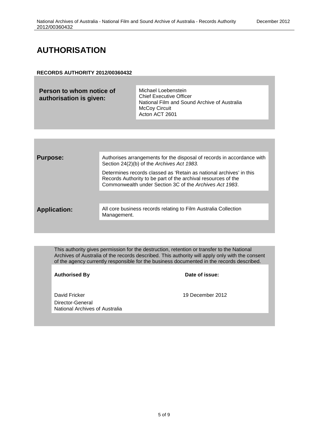#### **AUTHORISATION**

#### **RECORDS AUTHORITY 2012/00360432**

| McCoy Circuit<br>Acton ACT 2601 | Person to whom notice of<br>authorisation is given: | Michael Loebenstein<br><b>Chief Executive Officer</b><br>National Film and Sound Archive of Australia |
|---------------------------------|-----------------------------------------------------|-------------------------------------------------------------------------------------------------------|
|---------------------------------|-----------------------------------------------------|-------------------------------------------------------------------------------------------------------|

| <b>Purpose:</b>     | Authorises arrangements for the disposal of records in accordance with<br>Section 24(2)(b) of the Archives Act 1983.                                                                            |
|---------------------|-------------------------------------------------------------------------------------------------------------------------------------------------------------------------------------------------|
|                     | Determines records classed as 'Retain as national archives' in this<br>Records Authority to be part of the archival resources of the<br>Commonwealth under Section 3C of the Archives Act 1983. |
|                     |                                                                                                                                                                                                 |
| <b>Application:</b> | All core business records relating to Film Australia Collection<br>Management.                                                                                                                  |
|                     |                                                                                                                                                                                                 |

This authority gives permission for the destruction, retention or transfer to the National Archives of Australia of the records described. This authority will apply only with the consent of the agency currently responsible for the business documented in the records described.

Authorised By **Date of issue:** 

David Fricker 19 December 2012 Director-General National Archives of Australia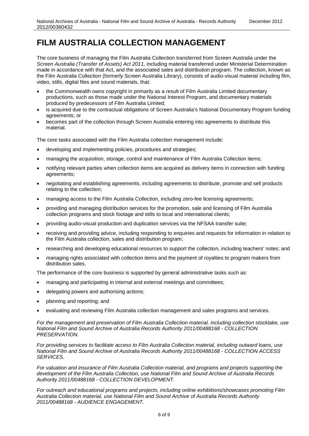The core business of managing the Film Australia Collection transferred from Screen Australia under the *Screen Australia (Transfer of Assets) Act 2011,* including material transferred under Ministerial Determination made in accordance with that Act, and the associated sales and distribution program. The collection, known as the Film Australia Collection (formerly Screen Australia Library), consists of audio-visual material including film, video, stills, digital files and sound materials, that:

- the Commonwealth owns copyright in primarily as a result of Film Australia Limited documentary productions, such as those made under the National Interest Program, and documentary materials produced by predecessors of Film Australia Limited;
- is acquired due to the contractual obligations of Screen Australia's National Documentary Program funding agreements; or
- becomes part of the collection through Screen Australia entering into agreements to distribute this material.

The core tasks associated with the Film Australia collection management include:

- developing and implementing policies, procedures and strategies;
- managing the acquisition, storage, control and maintenance of Film Australia Collection items;
- notifying relevant parties when collection items are acquired as delivery items in connection with funding agreements;
- negotiating and establishing agreements, including agreements to distribute, promote and sell products relating to the collection;
- managing access to the Film Australia Collection, including zero-fee licensing agreements;
- providing and managing distribution services for the promotion, sale and licensing of Film Australia collection programs and stock footage and stills to local and international clients;
- providing audio-visual production and duplication services via the NFSAA transfer suite;
- receiving and providing advice, including responding to enquiries and requests for information in relation to the Film Australia collection, sales and distribution program;
- researching and developing educational resources to support the collection, including teachers' notes; and
- managing rights associated with collection items and the payment of royalties to program makers from distribution sales.

The performance of the core business is supported by general administrative tasks such as:

- managing and participating in internal and external meetings and committees;
- delegating powers and authorising actions;
- planning and reporting; and
- evaluating and reviewing Film Australia collection management and sales programs and services.

*For the management and preservation of Film Australia Collection material, including collection stocktake, use National Film and Sound Archive of Australia Records Authority 2011/00488168 - COLLECTION PRESERVATION.* 

*For providing services to facilitate access to Film Australia Collection material, including outward loans, use National Film and Sound Archive of Australia Records Authority 2011/00488168 - COLLECTION ACCESS SERVICES.* 

*For valuation and insurance of Film Australia Collection material, and programs and projects supporting the development of the Film Australia Collection, use National Film and Sound Archive of Australia Records Authority 2011/00488168 - COLLECTION DEVELOPMENT.*

*For outreach and educational programs and projects, including online exhibitions/showcases promoting Film Australia Collection material, use National Film and Sound Archive of Australia Records Authority 2011/00488168 - AUDIENCE ENGAGEMENT.*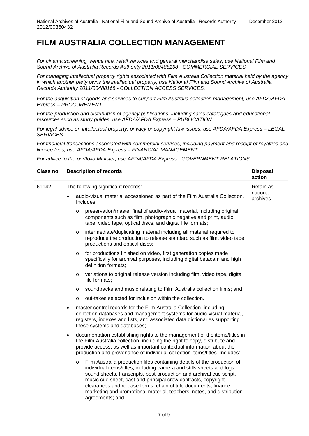*For cinema screening, venue hire, retail services and general merchandise sales, use National Film and Sound Archive of Australia Records Authority 2011/00488168 - COMMERCIAL SERVICES.*

*For managing intellectual property rights associated with Film Australia Collection material held by the agency in which another party owns the intellectual property, use National Film and Sound Archive of Australia Records Authority 2011/00488168 - COLLECTION ACCESS SERVICES.*

*For the acquisition of goods and services to support Film Australia collection management, use AFDA/AFDA Express – PROCUREMENT.*

*For the production and distribution of agency publications, including sales catalogues and educational resources such as study guides, use AFDA/AFDA Express – PUBLICATION.*

*For legal advice on intellectual property, privacy or copyright law issues, use AFDA/AFDA Express – LEGAL SERVICES.*

*For financial transactions associated with commercial services, including payment and receipt of royalties and licence fees, use AFDA/AFDA Express – FINANCIAL MANAGEMENT.*

*For advice to the portfolio Minister, use AFDA/AFDA Express - GOVERNMENT RELATIONS.*

| <b>Class no</b> | <b>Description of records</b>                                                                                                                                                                                                                                                                                                                                                                                                                                       | <b>Disposal</b><br>action |
|-----------------|---------------------------------------------------------------------------------------------------------------------------------------------------------------------------------------------------------------------------------------------------------------------------------------------------------------------------------------------------------------------------------------------------------------------------------------------------------------------|---------------------------|
| 61142           | The following significant records:                                                                                                                                                                                                                                                                                                                                                                                                                                  | Retain as                 |
|                 | audio-visual material accessioned as part of the Film Australia Collection.<br>Includes:                                                                                                                                                                                                                                                                                                                                                                            | national<br>archives      |
|                 | preservation/master final of audio-visual material, including original<br>$\circ$<br>components such as film, photographic negative and print, audio<br>tape, video tape, optical discs, and digital file formats;                                                                                                                                                                                                                                                  |                           |
|                 | intermediate/duplicating material including all material required to<br>$\circ$<br>reproduce the production to release standard such as film, video tape<br>productions and optical discs;                                                                                                                                                                                                                                                                          |                           |
|                 | for productions finished on video, first generation copies made<br>$\circ$<br>specifically for archival purposes, including digital betacam and high<br>definition formats;                                                                                                                                                                                                                                                                                         |                           |
|                 | variations to original release version including film, video tape, digital<br>$\circ$<br>file formats;                                                                                                                                                                                                                                                                                                                                                              |                           |
|                 | soundtracks and music relating to Film Australia collection films; and<br>$\circ$                                                                                                                                                                                                                                                                                                                                                                                   |                           |
|                 | out-takes selected for inclusion within the collection.<br>$\Omega$                                                                                                                                                                                                                                                                                                                                                                                                 |                           |
|                 | master control records for the Film Australia Collection, including<br>$\bullet$<br>collection databases and management systems for audio-visual material,<br>registers, indexes and lists, and associated data dictionaries supporting<br>these systems and databases;                                                                                                                                                                                             |                           |
|                 | documentation establishing rights to the management of the items/titles in<br>$\bullet$<br>the Film Australia collection, including the right to copy, distribute and<br>provide access, as well as important contextual information about the<br>production and provenance of individual collection items/titles. Includes:                                                                                                                                        |                           |
|                 | Film Australia production files containing details of the production of<br>$\circ$<br>individual items/titles, including camera and stills sheets and logs,<br>sound sheets, transcripts, post-production and archival cue script,<br>music cue sheet, cast and principal crew contracts, copyright<br>clearances and release forms, chain of title documents, finance,<br>marketing and promotional material, teachers' notes, and distribution<br>agreements; and |                           |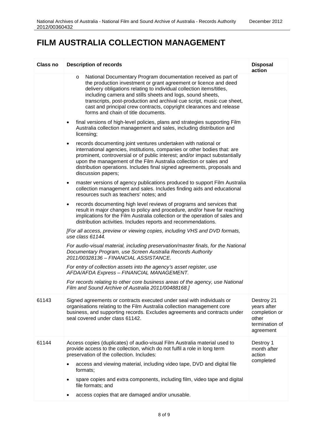| <b>Class no</b> | <b>Description of records</b>                                                                                                                                                                                                                                                                                                                                                                                                                                               | <b>Disposal</b><br>action                                                          |
|-----------------|-----------------------------------------------------------------------------------------------------------------------------------------------------------------------------------------------------------------------------------------------------------------------------------------------------------------------------------------------------------------------------------------------------------------------------------------------------------------------------|------------------------------------------------------------------------------------|
|                 | National Documentary Program documentation received as part of<br>$\circ$<br>the production investment or grant agreement or licence and deed<br>delivery obligations relating to individual collection items/titles,<br>including camera and stills sheets and logs, sound sheets,<br>transcripts, post-production and archival cue script, music cue sheet,<br>cast and principal crew contracts, copyright clearances and release<br>forms and chain of title documents. |                                                                                    |
|                 | final versions of high-level policies, plans and strategies supporting Film<br>$\bullet$<br>Australia collection management and sales, including distribution and<br>licensing;                                                                                                                                                                                                                                                                                             |                                                                                    |
|                 | records documenting joint ventures undertaken with national or<br>٠<br>international agencies, institutions, companies or other bodies that: are<br>prominent, controversial or of public interest; and/or impact substantially<br>upon the management of the Film Australia collection or sales and<br>distribution operations. Includes final signed agreements, proposals and<br>discussion papers;                                                                      |                                                                                    |
|                 | master versions of agency publications produced to support Film Australia<br>$\bullet$<br>collection management and sales. Includes finding aids and educational<br>resources such as teachers' notes; and                                                                                                                                                                                                                                                                  |                                                                                    |
|                 | records documenting high level reviews of programs and services that<br>$\bullet$<br>result in major changes to policy and procedure, and/or have far reaching<br>implications for the Film Australia collection or the operation of sales and<br>distribution activities. Includes reports and recommendations.                                                                                                                                                            |                                                                                    |
|                 | [For all access, preview or viewing copies, including VHS and DVD formats,<br>use class 61144.                                                                                                                                                                                                                                                                                                                                                                              |                                                                                    |
|                 | For audio-visual material, including preservation/master finals, for the National<br>Documentary Program, use Screen Australia Records Authority<br>2011/00328136 - FINANCIAL ASSISTANCE.                                                                                                                                                                                                                                                                                   |                                                                                    |
|                 | For entry of collection assets into the agency's asset register, use<br>AFDA/AFDA Express - FINANCIAL MANAGEMENT.                                                                                                                                                                                                                                                                                                                                                           |                                                                                    |
|                 | For records relating to other core business areas of the agency, use National<br>Film and Sound Archive of Australia 2011/00488168.]                                                                                                                                                                                                                                                                                                                                        |                                                                                    |
| 61143           | Signed agreements or contracts executed under seal with individuals or<br>organisations relating to the Film Australia collection management core<br>business, and supporting records. Excludes agreements and contracts under<br>seal covered under class 61142.                                                                                                                                                                                                           | Destroy 21<br>years after<br>completion or<br>other<br>termination of<br>agreement |
| 61144           | Access copies (duplicates) of audio-visual Film Australia material used to<br>provide access to the collection, which do not fulfil a role in long term<br>preservation of the collection. Includes:                                                                                                                                                                                                                                                                        | Destroy 1<br>month after<br>action                                                 |
|                 | access and viewing material, including video tape, DVD and digital file<br>formats;                                                                                                                                                                                                                                                                                                                                                                                         | completed                                                                          |
|                 | spare copies and extra components, including film, video tape and digital<br>file formats; and                                                                                                                                                                                                                                                                                                                                                                              |                                                                                    |
|                 | access copies that are damaged and/or unusable.                                                                                                                                                                                                                                                                                                                                                                                                                             |                                                                                    |